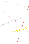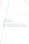# くほんぶつ **KUHOMBUTSU** 生きてる途中に死んだらどうしよう Ikiteru Tochuuni Shindara Doushiyou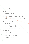1. コピーバンド Cover Band 2. ろまんひこう **ROMANHIKOU** 3. 生きてる途中に死んだらどうしよう What if I die while still I'm living?

> 4. チョーダイな Chōdaina

- 5. ぼくはあたまが悪い Bokuwa Atamaga Warui
- 6. それから And Then
- 7. ピートタウンゼント Pete Townshend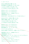1. コピーバンド

あなたの歌を初めて聴いたとき、 身の程知らずな夢を持ってしまったの こんなことを考えてると知っても、 どうか私をバカな女と思わないでね

あなたとコピーバンドがやりたい あなたとコピーバンドがやりたい WEEZER でもいい、OASIS でもいい、 GREENDAY でもいい

あなたのボーカルに合わせてコーラスをつけたい!

あなたのギターを初めて聴いたとき、 見果てぬ願いを持ってしまったの。 こんなこと考えてると知っても、 どうか私をバカな女と思わないでね

あなたとコピーバンドがやりたい あなたとコピーバンドがやりたい 椎名林檎でも、スーパーカーでも、 ナンバーガールでもいい あなたの隣で下手なギターを弾いて立っていたい!

WEEZER でもいい、OASIS でもいい、 GREENDAY でもいい

椎名林檎でもスーパーカーでもナンバーガールでもいい スマパンでもいい、マイブラでもいい、 ディ━プパープルでもいい イエモンでもいい、スピッツでもいい、 ブルーハーツでもなんでもイイよ!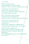# 1.Cover Band

When I first heard you sing I started dreaming an enormous dream Please don't think I'm dumb for imagining such a thing

I wanna start a cover band with you I wanna start a cover band with you Any song is ok, WEEZER, OASIS or GREEN DAY I just wanna backup your voice

When I first heard you play the quitar I started having an everlasting wish Please don't think I'm dumb for imagining such a thing

I wanna start a cover band with you

I wanna start a cover band with you Any song is ok,

Sheena Ringo, SUPERCAR or NUMBER GIRL

I just wanna stand beside you with my poor guitar

WEEZER, OASIS or GREEN DAY Sheena Ringo, SUPERCAR or NUMBER GIRL Smashing Pumpkins, My Bloody Valentine of Deep Purple THE YELLOW MONKEY, Spitz or THE BLUEHEARTS Any song is ok!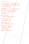**2. ス** キ ム ア ト ラ

知らない曲はまったく歌える気がしない とりあえず声を出しておけばんいかな これで許されるかか

曲の展開もついていけるかわからないし なんかほんとどうなってんだろ 私まったくこの曲を知らないから 本当に歌えない

嫌いなんだもん 人の曲なんか聴いてもれない

誰のことも許さない ぜんぶ秘密にしてる

明日の予定がない 楽しい予定がいるこもない だから目がクラクラする 頭も痛くなってきた もしかしたら 明後日もこんな日々か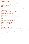# 2.**ROMANHIKOU**

I don't feel like singing songs I don't know Maybe I'll just let my voice out Will that do?

I'm not sure how the melody goes What's going on? I've never heard this song before So it's impossible to sing

It's so boring I can't listen to other people's songs

I don't acknowledge anyone I'm holding back everything

I have no plans for tomorrow No fun plans, nothing

Makes me dizzy Makes my head ache Maybe this is how it's always gonna be?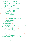9. 生きてる途中に死んだらどうしょう

登校拒否って名目つけて旅に出かける私とママ 迷惑なんか誰にもかけてない パパン彼氏とこんくらい

私とママは世界をまわってイイ男と恋をするの! そのために生まれてきたんだって 昨日テレビ観て思い出したの もう誰も私たちを止めれない もう何も私たちの邪魔できない

ああ 恋をするの!!

胸が高鳴り、頬を染めて 瞳の奥に星が見えるの 恋のためなら海も越えるわ パパと彼氏は裁判中

「一番大事なものはなんなの?」 くだらないこと今訊かないでよ 「生きてる途中死んだらどうしよう」 ポツリつぶやいたママを見てたの もう後悔はぜったいしたくない もう一秒も無駄になんて出来ない

ああ 恋をするの!!

ああ 本当の恋人に出会う前に死んだらどうしよう (※曲中では歌詞を一部間違えて歌ってます)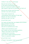3.What if I die while I'm still living?

Me and mom will go on a kip in the name of boycotting school We won't cause any trouble to anyone Well maybe to dad and my boyfriend, but that's all

Me and mom will go round the world and fall in love with cute guys

That's what I was born for I remembered while watching TV last night Nobody can stop us anymore Nothing can get in our way

Ah we'll fall in love!

Our hearts will beat hard, our cheeks will be flushed Stars will shine in our eyes We'd cross the sea for love Dad and my boyfriend are on trial

"What's most important to you?" Don't bother me now with stupid questions "What if I die while I'm still living?" I watched mom murmuring I don't want to regret anything anymore There's no second to waste

Ah we'll fall in love!

Ah what if I die before I meet my true love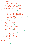4. チョーダイな

何も見ない目なら くりぬいてあげようか? 何も言わない口なら ひっぱがしてあげようか? 何も嗅がない鼻なら もぎとってあげようか? 何も聴かない耳なら ひきちぎってあげようか? ねえ? ★ チョーダイな あなたの人生を私に チョーダイな チョーダイな あなたの魂を私に チョーダイな チョーダイな ちょっとでいいからチョーダイな 使わないんなら 無駄にするんなら どうせだったら 私にチョーダイな 誰にも触らせないんだったら その髪も刈り取ってあげよすか? 誰にも触らないんだったら その手も必要ないんじゃないかな? その舌もひっこ抜いてあげようか? キスの甘さを知る気がないなら (★refrain x 2) 無理にだなんて言わないよ ちょっと言ってみただけよ なんだか邪魔っけみたいだったか ちょっと言ってみただけ (★refrain)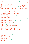4.Chōdaina

Let me gouge your eyes out if you see nothing with them Let me peel your mouth off if you say nothing with it Let me wrench your nose off if you smell nothing with it Let me tear your ears off if you don't listen with them

★ Gimme Gimme Give your life to me Gimme Gimme Give your soul to me Gimme Gimme Just some part of it will do If you don't use it If you're gonna waste it Let me have it please

Let me shave your hair off if you don't let anyone touch it You won't need your hands either if you won't touch anyone Let me pull your tongue out if you won't taste the sweetness of a kiss

(★refrain x 2)

I won't force you I'm just saying Because you look like/you don't need them I'm only joking

(★refrain)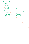#### 5. ぼくは頭がわるい

ぼくは頭がわるい ぼくは頭がわるいんだ 多分生まれた時から 脳みそがお豆腐かなんかになっちゃってんだ 多分ぼくのせいなんだ 全部ぼくがわるいんだ 頭がわるいからみんなにみどいことするんだ ぼくの頭がもっと良かったのに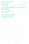## 5.Bokuwa Atamaga Warui

I have no brains I'm real dumb

My brain must have turned into tofu or something when I was born

It's probably my fault It's all my fault

I do terrible things to people Because I have no brains Oh I wish I was smarter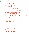

現代社会に出かけていきます 財布の中には一万円札 お守り代わりに携帯電話

君の名前を呼ぶ前にメールを打ったよ

お父さんとお母さんはほどほどに仲が悪くて お父さんとお母さんは共働きでお金持ちで ぼくはお小遣いさえもらえりゃ満足なんだよ

先読みばっかり 言い訳ばっかり 情けないぼく

君の名前を呼ぶ前にメールを打ったよ

情報社会のIT時代がインターネットと携帯電話で ぼくは何一つ大事なことを

君に伝えられる気がしないんだよ

君の名前を呼ぶ前に 目をつむった

今日もぼくたちは賢くズルく、 自分により良いように生きていく 今日もぼくたち賢くズルく、 間違えないように上手く生きる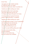## 6.And Then

I am going out into modern society A 10,000 yen bill in my wallet Cell phone like  $\frac{1}{2}$  lucky charm to protect me I texted you before calling your name My parents kind of don't get along They both have jobs and are rich I'm happy as long as they give me money I'm always frying to quess the future. always making excuses, I'm pathetic I texted you before calling your name In the information society, in the IT generation with the internet and cell phones I don't feel I can communicate a single important thing to you I closed my eyes before calling your name And we survive another day, slyly and selfishly We live on for another day.

slyly and without any mistakes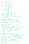7. ピートタウンゼント ピートタウンゼントに ピートタウンゼントと ピートタウンゼントが ピートタウンゼントで ピートタウンゼントを ピートタウンゼントは って言ってみたけど知りません . 誰のことだが知りません ピートタウンゼントなんて誰だか知らない! わたしは知らない 情報通のカレから聞いたことによると どうもピナトタウンゼントって言うのは キムチが美味しく作れる人のことらしい 絶対からかってるでしょ!?ソレ 嘘をついてるでしょ!!? 「バカにすんのもいい加減にしろ!」ってとか 思ったけどもしも本当だったら申し訳ない とか思ってそこではツッコめなかった 「ドンピシャリだったら・・」 英語で尋ねられても意味がわからない ジサストモーメントプリーズの意味がわからない わたしは何もわからない意味がわからない わからない 知らない まったく勉強家じゃない テレビも観ないし 映画も観ないし ロックンロールのロの字も知らない 何も知らない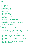#### 7.Pete Townshend

Pete Townshend with Pete Townshend and... Pete Townshend is... Pete Townshend to... Pete Townshend of... Pete Townshend is...

Well who is that anyway? I don't know who that is Who is Pete Townshend? I don't know

This boy I know who knows everything told me that Pete Townshend was a famous kimchi master

You've gotta be kidding Stop telling me lies, stop making fun of me I thought "Come on, be serious!" But what if he was telling me the truth and I just didn't know? I don't know, so I can't say anything "What if that's really exactly what he is ...?"

I don't understand if I'm spoken to in English

I don't know what "just a moment please" means

I don't know anything, nothing makes sense to me

I don't know, I have no idea, I don't like studying at all

I don't watch TV and I don't see movies

I don't know the first thing about rock and roll

I don't know anything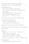All Songs Written by 内田るん Run Uchida. Arranged by くほんぶつ KUHOMBUTSU.

KUHOMBUTSU are

内田るん Run Uchida : Vocal,Guitar

さいとうあさみ Asami Saitou : Keyboard,Chorus (from happle)

喜代千晶 Chiaki Kishiro : Bass, Chorus

光永渉 Wataru Mitsunaga : Drums

(from チムニィ , ランタンパレード他 )

Recorded at Sound Studio Noah Kichijoji, 2012.

Recorded,Mixed,Mastered by

片岡ハルカ Haruka Kataoka

(100yenLabel, <http://drumsoft.com/>).

Designed by Run Uchida and Haruka Kataoka.

Translated by DIRTY(Team Kathy) with some help by Bowen Casey.

thanks to

南池袋ミュージック・オルグ . オモチレコード ,

Lilmag , 円盤 , circlesounds ,

下北沢 THREE , 無力無善寺 , GENIE ,

企画に出てくれたり呼んでくれた皆さん。

それと母、父、祖母、友人ら。あとずっと好きだった人 .

special thanks to JJ,Bob,Yuko,Emi,Akiko,Toko and Yuki!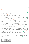Released in July, 2012.

Copyright (c) 2012 by KUHOMBUTSU.

この作品はクリエイティブ・コモンズ・ライセンス 表 示 - 継承 2.1 日本 の下に提供されています。このライ センスのコピーを見るためには、 <http://creativecommons.org/licenses/by-sa/2.1/jp/> をご覧になるか、以下へお手紙をお送り下さい : Creative Commons, 444 Castro Street, Suite 900. Mountain View, California, 94041, USA.

This work is licensed under the Creative Commons Attribution-ShareAlike 2.1 Japan License. To view a copy of this license, visit

http://creativecommons.org/licenses/by-sa/2/1/jp/ or send a letter to Creative Commons, 444 Castro Street, Suite 900, Mountain View, California, 94041, USA.